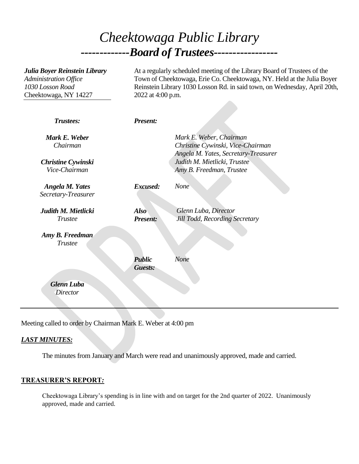# *Cheektowaga Public Library -------------Board of Trustees-----------------*

| Julia Boyer Reinstein Library<br>Administration Office<br>1030 Losson Road<br>Cheektowaga, NY 14227 | At a regularly scheduled meeting of the Library Board of Trustees of the<br>Town of Cheektowaga, Erie Co. Cheektowaga, NY. Held at the Julia Boyer<br>Reinstein Library 1030 Losson Rd. in said town, on Wednesday, April 20th,<br>2022 at 4:00 p.m. |                                                                                                                                                                  |
|-----------------------------------------------------------------------------------------------------|------------------------------------------------------------------------------------------------------------------------------------------------------------------------------------------------------------------------------------------------------|------------------------------------------------------------------------------------------------------------------------------------------------------------------|
| Trustees:                                                                                           | <b>Present:</b>                                                                                                                                                                                                                                      |                                                                                                                                                                  |
| Mark E. Weber<br>Chairman<br><b>Christine Cywinski</b><br>Vice-Chairman                             |                                                                                                                                                                                                                                                      | Mark E. Weber, Chairman<br>Christine Cywinski, Vice-Chairman<br>Angela M. Yates, Secretary-Treasurer<br>Judith M. Mietlicki, Trustee<br>Amy B. Freedman, Trustee |
| <b>Angela M. Yates</b><br>Secretary-Treasurer                                                       | Excused:                                                                                                                                                                                                                                             | None                                                                                                                                                             |
| Judith M. Mietlicki<br><b>Trustee</b>                                                               | <b>Also</b><br>Present:                                                                                                                                                                                                                              | Glenn Luba, Director<br>Jill Todd, Recording Secretary                                                                                                           |
| Amy B. Freedman<br><b>Trustee</b>                                                                   |                                                                                                                                                                                                                                                      |                                                                                                                                                                  |
|                                                                                                     | <b>Public</b><br>Guests:                                                                                                                                                                                                                             | None                                                                                                                                                             |
| <b>Glenn Luba</b><br><b>Director</b>                                                                |                                                                                                                                                                                                                                                      |                                                                                                                                                                  |

Meeting called to order by Chairman Mark E. Weber at 4:00 pm

# *LAST MINUTES:*

The minutes from January and March were read and unanimously approved, made and carried.

#### **TREASURER'S REPORT***:*

Cheektowaga Library's spending is in line with and on target for the 2nd quarter of 2022. Unanimously approved, made and carried.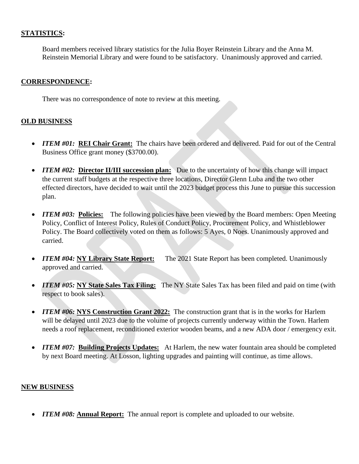#### **STATISTICS:**

Board members received library statistics for the Julia Boyer Reinstein Library and the Anna M. Reinstein Memorial Library and were found to be satisfactory. Unanimously approved and carried.

#### **CORRESPONDENCE:**

There was no correspondence of note to review at this meeting.

## **OLD BUSINESS**

- *ITEM #01:* **REI Chair Grant:** The chairs have been ordered and delivered. Paid for out of the Central Business Office grant money (\$3700.00).
- *ITEM #02:* **Director II/III succession plan:** Due to the uncertainty of how this change will impact the current staff budgets at the respective three locations, Director Glenn Luba and the two other effected directors, have decided to wait until the 2023 budget process this June to pursue this succession plan.
- *ITEM #03:* Policies: The following policies have been viewed by the Board members: Open Meeting Policy, Conflict of Interest Policy, Rules of Conduct Policy, Procurement Policy, and Whistleblower Policy. The Board collectively voted on them as follows: 5 Ayes, 0 Noes. Unanimously approved and carried.
- *ITEM #04:* **NY Library State Report:** The 2021 State Report has been completed. Unanimously approved and carried.
- *ITEM #05:* **NY State Sales Tax Filing:** The NY State Sales Tax has been filed and paid on time (with respect to book sales).
- *ITEM #06:* **NYS Construction Grant 2022:** The construction grant that is in the works for Harlem will be delayed until 2023 due to the volume of projects currently underway within the Town. Harlem needs a roof replacement, reconditioned exterior wooden beams, and a new ADA door / emergency exit.
- *ITEM #07:* Building Projects Updates: At Harlem, the new water fountain area should be completed by next Board meeting. At Losson, lighting upgrades and painting will continue, as time allows.

## **NEW BUSINESS**

• *ITEM #08:* **Annual Report:** The annual report is complete and uploaded to our website.